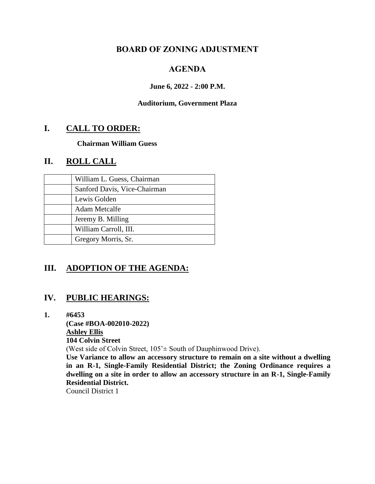## **BOARD OF ZONING ADJUSTMENT**

# **AGENDA**

### **June 6, 2022 - 2:00 P.M.**

#### **Auditorium, Government Plaza**

# **I. CALL TO ORDER:**

#### **Chairman William Guess**

## **II. ROLL CALL**

| William L. Guess, Chairman   |
|------------------------------|
| Sanford Davis, Vice-Chairman |
| Lewis Golden                 |
| <b>Adam Metcalfe</b>         |
| Jeremy B. Milling            |
| William Carroll, III.        |
| Gregory Morris, Sr.          |

# **III. ADOPTION OF THE AGENDA:**

## **IV. PUBLIC HEARINGS:**

**1. #6453**

**(Case #BOA-002010-2022)**

**Ashley Ellis**

**104 Colvin Street**

(West side of Colvin Street, 105'± South of Dauphinwood Drive).

**Use Variance to allow an accessory structure to remain on a site without a dwelling in an R-1, Single-Family Residential District; the Zoning Ordinance requires a dwelling on a site in order to allow an accessory structure in an R-1, Single-Family Residential District.**

Council District 1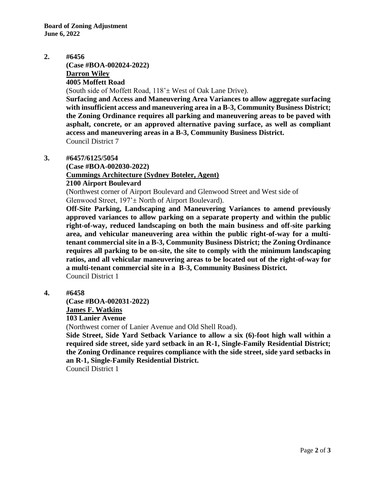**2. #6456**

**(Case #BOA-002024-2022) Darron Wiley 4005 Moffett Road**

(South side of Moffett Road,  $118' \pm$  West of Oak Lane Drive).

**Surfacing and Access and Maneuvering Area Variances to allow aggregate surfacing with insufficient access and maneuvering area in a B-3, Community Business District; the Zoning Ordinance requires all parking and maneuvering areas to be paved with asphalt, concrete, or an approved alternative paving surface, as well as compliant access and maneuvering areas in a B-3, Community Business District.**  Council District 7

**3. #6457/6125/5054**

**(Case #BOA-002030-2022)**

**Cummings Architecture (Sydney Boteler, Agent)**

#### **2100 Airport Boulevard**

(Northwest corner of Airport Boulevard and Glenwood Street and West side of Glenwood Street,  $197 \pm$  North of Airport Boulevard).

**Off-Site Parking, Landscaping and Maneuvering Variances to amend previously approved variances to allow parking on a separate property and within the public right-of-way, reduced landscaping on both the main business and off-site parking area, and vehicular maneuvering area within the public right-of-way for a multitenant commercial site in a B-3, Community Business District; the Zoning Ordinance requires all parking to be on-site, the site to comply with the minimum landscaping ratios, and all vehicular maneuvering areas to be located out of the right-of-way for a multi-tenant commercial site in a B-3, Community Business District.** Council District 1

**4. #6458**

**(Case #BOA-002031-2022) James F. Watkins 103 Lanier Avenue**

(Northwest corner of Lanier Avenue and Old Shell Road).

**Side Street, Side Yard Setback Variance to allow a six (6)-foot high wall within a required side street, side yard setback in an R-1, Single-Family Residential District; the Zoning Ordinance requires compliance with the side street, side yard setbacks in an R-1, Single-Family Residential District.**

Council District 1